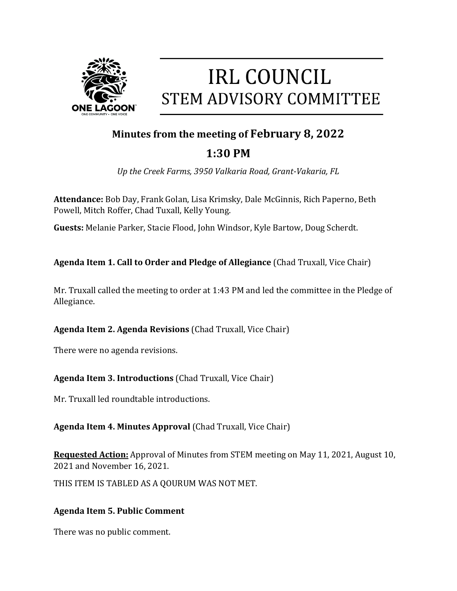

# **IRL COUNCIL STEM ADVISORY COMMITTEE**

## **Minutes from the meeting of February 8, 2022**

# **1:30 PM**

*Up the Creek Farms, 3950 Valkaria Road, Grant-Vakaria, FL* 

**Attendance:** Bob Day, Frank Golan, Lisa Krimsky, Dale McGinnis, Rich Paperno, Beth Powell, Mitch Roffer, Chad Tuxall, Kelly Young.

**Guests:** Melanie Parker, Stacie Flood, John Windsor, Kyle Bartow, Doug Scherdt.

**Agenda Item 1. Call to Order and Pledge of Allegiance** (Chad Truxall, Vice Chair)

Mr. Truxall called the meeting to order at 1:43 PM and led the committee in the Pledge of Allegiance.

**Agenda Item 2. Agenda Revisions** (Chad Truxall, Vice Chair)

There were no agenda revisions.

**Agenda Item 3. Introductions** (Chad Truxall, Vice Chair)

Mr. Truxall led roundtable introductions.

**Agenda Item 4. Minutes Approval** (Chad Truxall, Vice Chair)

**Requested Action:** Approval of Minutes from STEM meeting on May 11, 2021, August 10, 2021 and November 16, 2021.

THIS ITEM IS TABLED AS A QOURUM WAS NOT MET.

### **Agenda Item 5. Public Comment**

There was no public comment.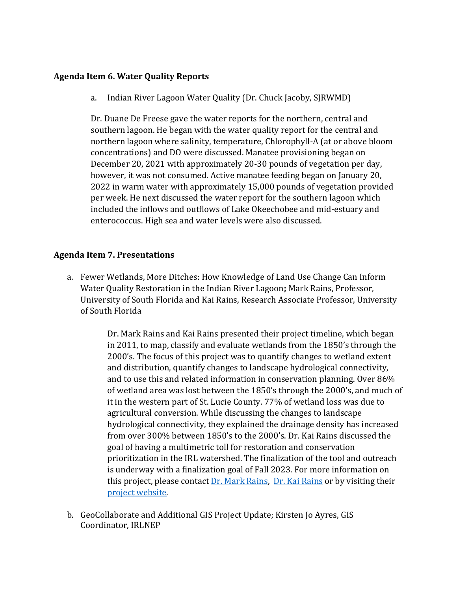#### **Agenda Item 6. Water Quality Reports**

a. Indian River Lagoon Water Quality (Dr. Chuck Jacoby, SJRWMD)

Dr. Duane De Freese gave the water reports for the northern, central and southern lagoon. He began with the water quality report for the central and northern lagoon where salinity, temperature, Chlorophyll-A (at or above bloom concentrations) and DO were discussed. Manatee provisioning began on December 20, 2021 with approximately 20-30 pounds of vegetation per day, however, it was not consumed. Active manatee feeding began on January 20, 2022 in warm water with approximately 15,000 pounds of vegetation provided per week. He next discussed the water report for the southern lagoon which included the inflows and outflows of Lake Okeechobee and mid-estuary and enterococcus. High sea and water levels were also discussed.

#### **Agenda Item 7. Presentations**

a. Fewer Wetlands, More Ditches: How Knowledge of Land Use Change Can Inform Water Quality Restoration in the Indian River Lagoon**;** Mark Rains, Professor, University of South Florida and Kai Rains, Research Associate Professor, University of South Florida

> Dr. Mark Rains and Kai Rains presented their project timeline, which began in 2011, to map, classify and evaluate wetlands from the 1850's through the 2000's. The focus of this project was to quantify changes to wetland extent and distribution, quantify changes to landscape hydrological connectivity, and to use this and related information in conservation planning. Over 86% of wetland area was lost between the 1850's through the 2000's, and much of it in the western part of St. Lucie County. 77% of wetland loss was due to agricultural conversion. While discussing the changes to landscape hydrological connectivity, they explained the drainage density has increased from over 300% between 1850's to the 2000's. Dr. Kai Rains discussed the goal of having a multimetric toll for restoration and conservation prioritization in the IRL watershed. The finalization of the tool and outreach is underway with a finalization goal of Fall 2023. For more information on this project, please contact  $Dr.$  Mark Rains,  $Dr.$  Kai Rains or by visiting their [project website.](http://myweb.usf.edu/%7Ekrains/ecohydrology/)

b. GeoCollaborate and Additional GIS Project Update; Kirsten Jo Ayres, GIS Coordinator, IRLNEP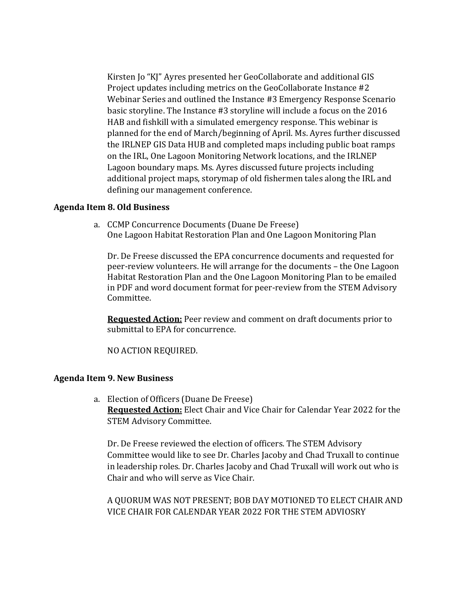Kirsten Jo "KJ" Ayres presented her GeoCollaborate and additional GIS Project updates including metrics on the GeoCollaborate Instance #2 Webinar Series and outlined the Instance #3 Emergency Response Scenario basic storyline. The Instance #3 storyline will include a focus on the 2016 HAB and fishkill with a simulated emergency response. This webinar is planned for the end of March/beginning of April. Ms. Ayres further discussed the IRLNEP GIS Data HUB and completed maps including public boat ramps on the IRL, One Lagoon Monitoring Network locations, and the IRLNEP Lagoon boundary maps. Ms. Ayres discussed future projects including additional project maps, storymap of old fishermen tales along the IRL and defining our management conference.

#### **Agenda Item 8. Old Business**

a. CCMP Concurrence Documents (Duane De Freese) One Lagoon Habitat Restoration Plan and One Lagoon Monitoring Plan

Dr. De Freese discussed the EPA concurrence documents and requested for peer-review volunteers. He will arrange for the documents – the One Lagoon Habitat Restoration Plan and the One Lagoon Monitoring Plan to be emailed in PDF and word document format for peer-review from the STEM Advisory Committee.

**Requested Action:** Peer review and comment on draft documents prior to submittal to EPA for concurrence.

NO ACTION REQUIRED.

#### **Agenda Item 9. New Business**

a. Election of Officers (Duane De Freese) **Requested Action:** Elect Chair and Vice Chair for Calendar Year 2022 for the STEM Advisory Committee.

Dr. De Freese reviewed the election of officers. The STEM Advisory Committee would like to see Dr. Charles Jacoby and Chad Truxall to continue in leadership roles. Dr. Charles Jacoby and Chad Truxall will work out who is Chair and who will serve as Vice Chair.

A QUORUM WAS NOT PRESENT; BOB DAY MOTIONED TO ELECT CHAIR AND VICE CHAIR FOR CALENDAR YEAR 2022 FOR THE STEM ADVIOSRY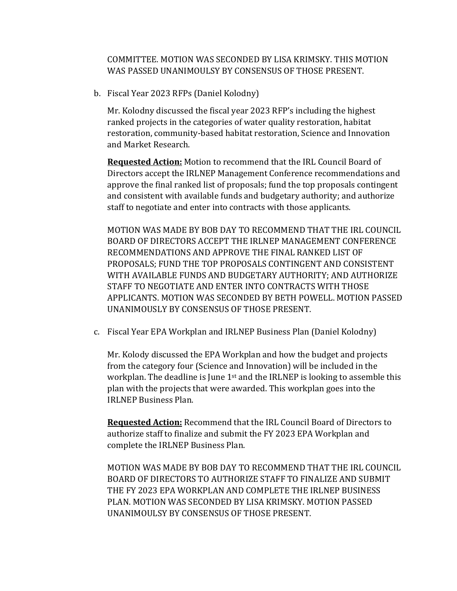COMMITTEE. MOTION WAS SECONDED BY LISA KRIMSKY. THIS MOTION WAS PASSED UNANIMOULSY BY CONSENSUS OF THOSE PRESENT.

b. Fiscal Year 2023 RFPs (Daniel Kolodny)

Mr. Kolodny discussed the fiscal year 2023 RFP's including the highest ranked projects in the categories of water quality restoration, habitat restoration, community-based habitat restoration, Science and Innovation and Market Research.

**Requested Action:** Motion to recommend that the IRL Council Board of Directors accept the IRLNEP Management Conference recommendations and approve the final ranked list of proposals; fund the top proposals contingent and consistent with available funds and budgetary authority; and authorize staff to negotiate and enter into contracts with those applicants.

MOTION WAS MADE BY BOB DAY TO RECOMMEND THAT THE IRL COUNCIL BOARD OF DIRECTORS ACCEPT THE IRLNEP MANAGEMENT CONFERENCE RECOMMENDATIONS AND APPROVE THE FINAL RANKED LIST OF PROPOSALS; FUND THE TOP PROPOSALS CONTINGENT AND CONSISTENT WITH AVAILABLE FUNDS AND BUDGETARY AUTHORITY; AND AUTHORIZE STAFF TO NEGOTIATE AND ENTER INTO CONTRACTS WITH THOSE APPLICANTS. MOTION WAS SECONDED BY BETH POWELL. MOTION PASSED UNANIMOUSLY BY CONSENSUS OF THOSE PRESENT.

c. Fiscal Year EPA Workplan and IRLNEP Business Plan (Daniel Kolodny)

Mr. Kolody discussed the EPA Workplan and how the budget and projects from the category four (Science and Innovation) will be included in the workplan. The deadline is June 1<sup>st</sup> and the IRLNEP is looking to assemble this plan with the projects that were awarded. This workplan goes into the IRLNEP Business Plan.

**Requested Action:** Recommend that the IRL Council Board of Directors to authorize staff to finalize and submit the FY 2023 EPA Workplan and complete the IRLNEP Business Plan.

MOTION WAS MADE BY BOB DAY TO RECOMMEND THAT THE IRL COUNCIL BOARD OF DIRECTORS TO AUTHORIZE STAFF TO FINALIZE AND SUBMIT THE FY 2023 EPA WORKPLAN AND COMPLETE THE IRLNEP BUSINESS PLAN. MOTION WAS SECONDED BY LISA KRIMSKY. MOTION PASSED UNANIMOULSY BY CONSENSUS OF THOSE PRESENT.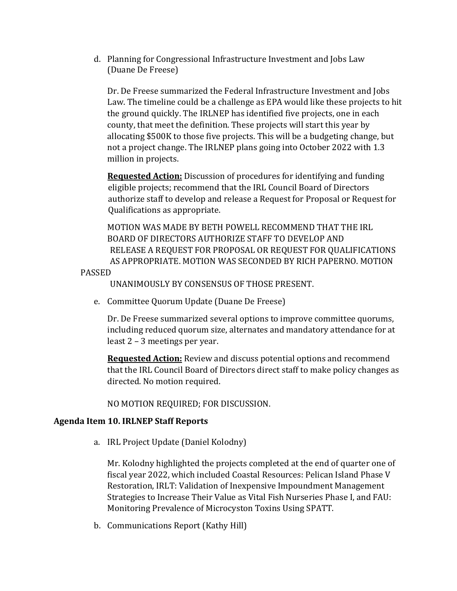d. Planning for Congressional Infrastructure Investment and Jobs Law (Duane De Freese)

Dr. De Freese summarized the Federal Infrastructure Investment and Jobs Law. The timeline could be a challenge as EPA would like these projects to hit the ground quickly. The IRLNEP has identified five projects, one in each county, that meet the definition. These projects will start this year by allocating \$500K to those five projects. This will be a budgeting change, but not a project change. The IRLNEP plans going into October 2022 with 1.3 million in projects.

**Requested Action:** Discussion of procedures for identifying and funding eligible projects; recommend that the IRL Council Board of Directors authorize staff to develop and release a Request for Proposal or Request for Qualifications as appropriate.

MOTION WAS MADE BY BETH POWELL RECOMMEND THAT THE IRL BOARD OF DIRECTORS AUTHORIZE STAFF TO DEVELOP AND RELEASE A REQUEST FOR PROPOSAL OR REQUEST FOR QUALIFICATIONS AS APPROPRIATE. MOTION WAS SECONDED BY RICH PAPERNO. MOTION

PASSED

UNANIMOUSLY BY CONSENSUS OF THOSE PRESENT.

e. Committee Quorum Update (Duane De Freese)

Dr. De Freese summarized several options to improve committee quorums, including reduced quorum size, alternates and mandatory attendance for at least 2 – 3 meetings per year.

**Requested Action:** Review and discuss potential options and recommend that the IRL Council Board of Directors direct staff to make policy changes as directed. No motion required.

NO MOTION REQUIRED; FOR DISCUSSION.

#### **Agenda Item 10. IRLNEP Staff Reports**

a. IRL Project Update (Daniel Kolodny)

Mr. Kolodny highlighted the projects completed at the end of quarter one of fiscal year 2022, which included Coastal Resources: Pelican Island Phase V Restoration, IRLT: Validation of Inexpensive Impoundment Management Strategies to Increase Their Value as Vital Fish Nurseries Phase I, and FAU: Monitoring Prevalence of Microcyston Toxins Using SPATT.

b. Communications Report (Kathy Hill)